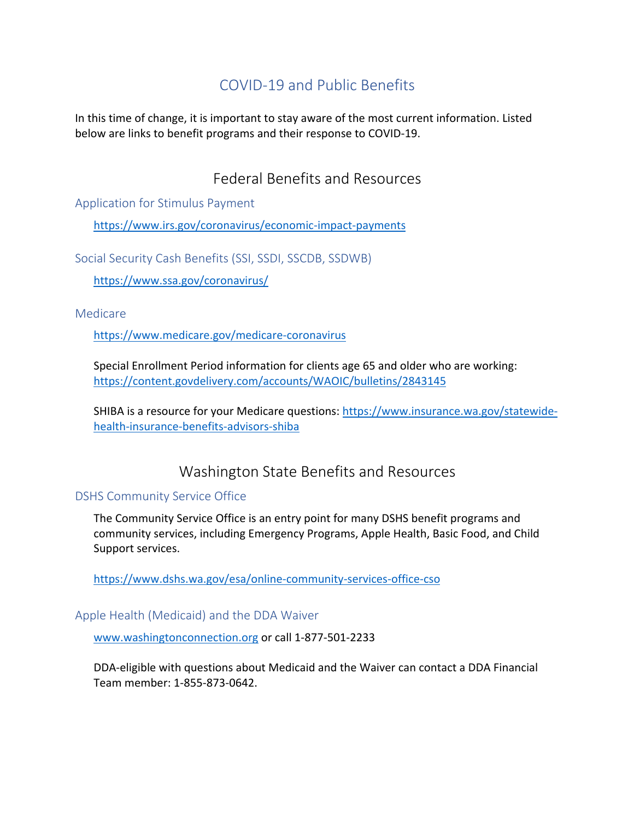# COVID-19 and Public Benefits

In this time of change, it is important to stay aware of the most current information. Listed below are links to benefit programs and their response to COVID-19.

## Federal Benefits and Resources

Application for Stimulus Payment

https://www.irs.gov/coronavirus/economic-impact-payments

Social Security Cash Benefits (SSI, SSDI, SSCDB, SSDWB)

https://www.ssa.gov/coronavirus/

Medicare

https://www.medicare.gov/medicare-coronavirus

Special Enrollment Period information for clients age 65 and older who are working: https://content.govdelivery.com/accounts/WAOIC/bulletins/2843145

SHIBA is a resource for your Medicare questions: https://www.insurance.wa.gov/statewidehealth-insurance-benefits-advisors-shiba

### Washington State Benefits and Resources

#### DSHS Community Service Office

The Community Service Office is an entry point for many DSHS benefit programs and community services, including Emergency Programs, Apple Health, Basic Food, and Child Support services.

https://www.dshs.wa.gov/esa/online-community-services-office-cso

#### Apple Health (Medicaid) and the DDA Waiver

www.washingtonconnection.org or call 1-877-501-2233

DDA-eligible with questions about Medicaid and the Waiver can contact a DDA Financial Team member: 1-855-873-0642.